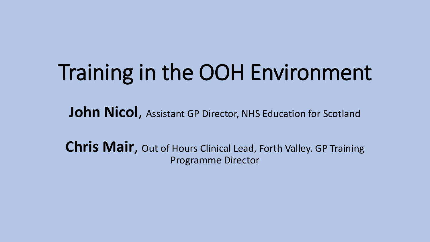# Training in the OOH Environment

**John Nicol**, Assistant GP Director, NHS Education for Scotland

**Chris Mair**, Out of Hours Clinical Lead, Forth Valley. GP Training Programme Director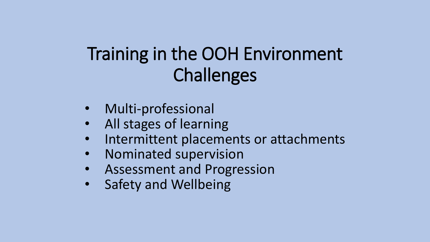## Training in the OOH Environment Challenges

- Multi-professional
- All stages of learning
- Intermittent placements or attachments
- Nominated supervision
- Assessment and Progression
- Safety and Wellbeing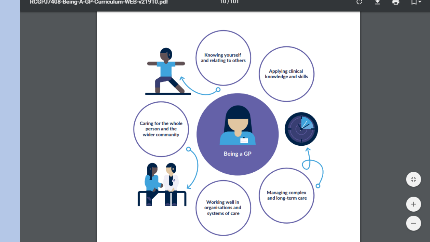וטר/טר

O.  $\mathbf{r}$ ÷ ⊣ผ∗



 $\oplus$ 

 $+$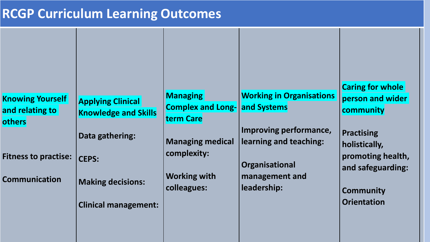#### **RCGP Curriculum Learning Outcomes**

|                             |                             |                                      |                                 | <b>Caring for whole</b> |
|-----------------------------|-----------------------------|--------------------------------------|---------------------------------|-------------------------|
| <b>Knowing Yourself</b>     | <b>Applying Clinical</b>    | <b>Managing</b>                      | <b>Working in Organisations</b> | person and wider        |
| and relating to             | <b>Knowledge and Skills</b> | <b>Complex and Long- and Systems</b> |                                 | community               |
| others                      |                             | term Care                            |                                 |                         |
| <b>Fitness to practise:</b> | Data gathering:             |                                      | Improving performance,          | <b>Practising</b>       |
|                             |                             | <b>Managing medical</b>              | learning and teaching:          | holistically,           |
|                             | <b>CEPS:</b>                | complexity:                          |                                 | promoting health,       |
|                             |                             |                                      | Organisational                  |                         |
|                             |                             | <b>Working with</b>                  | management and                  | and safeguarding:       |
| <b>Communication</b>        | <b>Making decisions:</b>    | colleagues:                          | leadership:                     |                         |
|                             |                             |                                      |                                 | <b>Community</b>        |
|                             | <b>Clinical management:</b> |                                      |                                 | <b>Orientation</b>      |
|                             |                             |                                      |                                 |                         |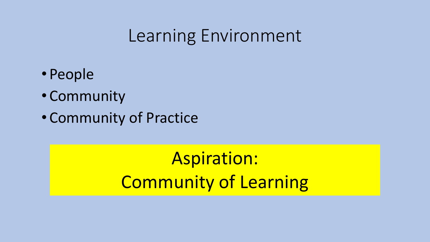#### Learning Environment

- People
- Community
- Community of Practice

Aspiration: Community of Learning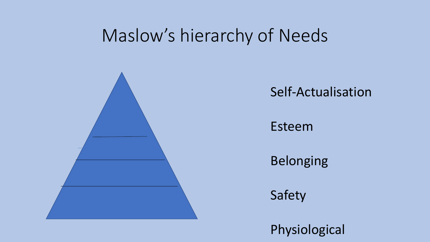#### Maslow's hierarchy of Needs



Self-Actualisation

Esteem

Belonging

Safety

Physiological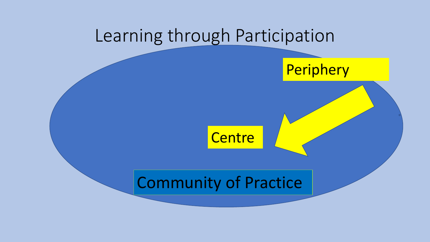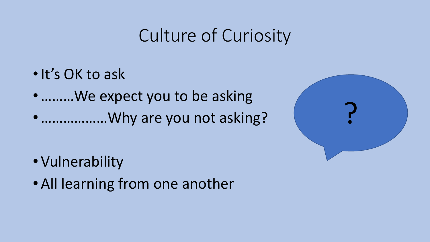### Culture of Curiosity

- •It's OK to ask
- •………We expect you to be asking
- ..................Why are you not asking?

- Vulnerability
- All learning from one another

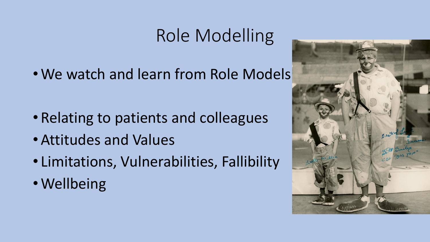## Role Modelling

• We watch and learn from Role Models

- Relating to patients and colleagues
- Attitudes and Values
- Limitations, Vulnerabilities, Fallibility
- Wellbeing

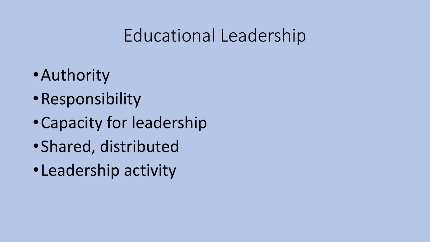### Educational Leadership

- •Authority
- •Responsibility
- •Capacity for leadership
- •Shared, distributed
- •Leadership activity